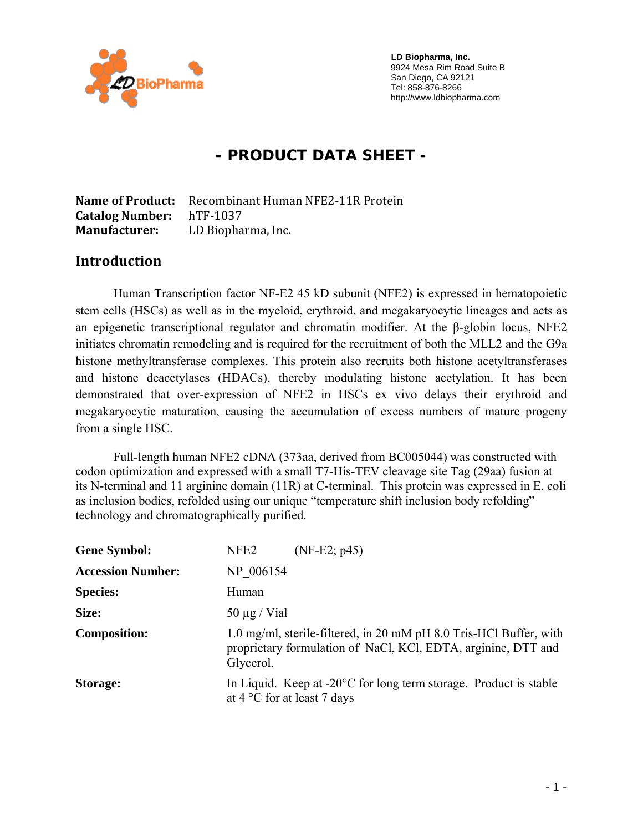

 **LD Biopharma, Inc.**  9924 Mesa Rim Road Suite B San Diego, CA 92121 Tel: 858-876-8266 http://www.ldbiopharma.com

# **- PRODUCT DATA SHEET -**

**Name of Product:** Recombinant Human NFE2‐11R Protein **Catalog Number:** hTF‐1037 **Manufacturer:** LD Biopharma, Inc.

#### **Introduction**

Human Transcription factor NF-E2 45 kD subunit (NFE2) is expressed in hematopoietic stem cells (HSCs) as well as in the myeloid, erythroid, and megakaryocytic lineages and acts as an epigenetic transcriptional regulator and chromatin modifier. At the β-globin locus, NFE2 initiates chromatin remodeling and is required for the recruitment of both the MLL2 and the G9a histone methyltransferase complexes. This protein also recruits both histone acetyltransferases and histone deacetylases (HDACs), thereby modulating histone acetylation. It has been demonstrated that over-expression of NFE2 in HSCs ex vivo delays their erythroid and megakaryocytic maturation, causing the accumulation of excess numbers of mature progeny from a single HSC.

Full-length human NFE2 cDNA (373aa, derived from BC005044) was constructed with codon optimization and expressed with a small T7-His-TEV cleavage site Tag (29aa) fusion at its N-terminal and 11 arginine domain (11R) at C-terminal. This protein was expressed in E. coli as inclusion bodies, refolded using our unique "temperature shift inclusion body refolding" technology and chromatographically purified.

| <b>Gene Symbol:</b>      | NFE2<br>$(NF-E2; p45)$                                                                                                                           |
|--------------------------|--------------------------------------------------------------------------------------------------------------------------------------------------|
| <b>Accession Number:</b> | NP 006154                                                                                                                                        |
| <b>Species:</b>          | Human                                                                                                                                            |
| Size:                    | $50 \mu g$ / Vial                                                                                                                                |
| <b>Composition:</b>      | 1.0 mg/ml, sterile-filtered, in 20 mM pH 8.0 Tris-HCl Buffer, with<br>proprietary formulation of NaCl, KCl, EDTA, arginine, DTT and<br>Glycerol. |
| <b>Storage:</b>          | In Liquid. Keep at $-20^{\circ}$ C for long term storage. Product is stable<br>at $4^{\circ}$ C for at least 7 days                              |